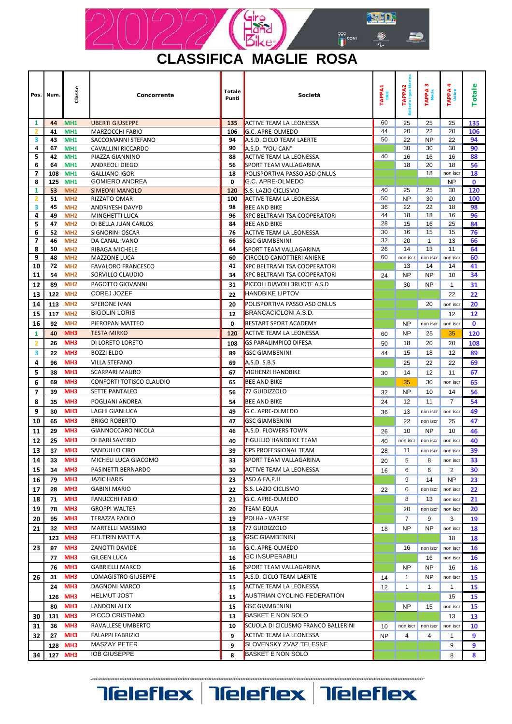

| <b>CLASSIFICA MAGLIE ROSA</b> |  |  |
|-------------------------------|--|--|
|                               |  |  |

| Pos.                         | Num.     | Classe                             | Concorrente                                      | <b>Totale</b><br>Punti | Società                                               |           | TAPPA2<br>Ilaria I gea Mar<br><b>Sell</b><br>25 | S.<br>TAPPA<br>Meda | 4<br>TAPPA<br>udine<br>25 | Totale      |
|------------------------------|----------|------------------------------------|--------------------------------------------------|------------------------|-------------------------------------------------------|-----------|-------------------------------------------------|---------------------|---------------------------|-------------|
| 1<br>2                       | 44<br>41 | MH <sub>1</sub><br>MH <sub>1</sub> | <b>UBERTI GIUSEPPE</b><br><b>MARZOCCHI FABIO</b> | 135<br>106             | <b>ACTIVE TEAM LA LEONESSA</b><br>G.C. APRE-OLMEDO    | 60<br>44  | 20                                              | 25<br>22            | 20                        | 135<br>106  |
| 3                            | 43       | <b>MH1</b>                         | SACCOMANNI STEFANO                               | 94                     | A.S.D. CICLO TEAM LAERTE                              | 50        | 22                                              | <b>NP</b>           | 22                        | 94          |
| 4                            | 67       | MH <sub>1</sub>                    | CAVALLINI RICCARDO                               | 90                     | A.S.D. "YOU CAN"                                      |           | 30                                              | 30                  | 30                        | 90          |
| 5                            | 42       | MH <sub>1</sub>                    | PIAZZA GIANNINO                                  | 88                     | <b>ACTIVE TEAM LA LEONESSA</b>                        | 40        | 16                                              | 16                  | 16                        | 88          |
| 6                            | 64       | MH <sub>1</sub>                    | ANDREOLI DIEGO                                   | 56                     | SPORT TEAM VALLAGARINA                                |           | 18                                              | 20                  | 18                        | 56          |
| 7                            | 108      | MH <sub>1</sub>                    | <b>GALLIANO IGOR</b>                             | 18                     | POLISPORTIVA PASSO ASD ONLUS                          |           |                                                 | 18                  | non iscr                  | 18          |
| 8                            | 125      | MH <sub>1</sub>                    | <b>GOMIERO ANDREA</b>                            | 0                      | G.C. APRE-OLMEDO                                      |           |                                                 |                     | <b>NP</b>                 | $\mathbf 0$ |
| 1                            | 53       | MH <sub>2</sub>                    | <b>SIMEONI MANOLO</b>                            | 120                    | S.S. LAZIO CICLISMO                                   | 40        | 25                                              | 25                  | 30                        | 120         |
| $\overline{\mathbf{2}}$<br>3 | 51<br>45 | MH <sub>2</sub><br>MH <sub>2</sub> | RIZZATO OMAR<br>ANDRIYESH DAVYD                  | 100<br>98              | <b>ACTIVE TEAM LA LEONESSA</b><br><b>BEE AND BIKE</b> | 50<br>36  | <b>NP</b><br>22                                 | 30<br>22            | 20<br>18                  | 100<br>98   |
| 4                            | 49       | MH <sub>2</sub>                    | MINGHETTI LUCA                                   | 96                     | <b>XPC BELTRAMI TSA COOPERATORI</b>                   | 44        | 18                                              | 18                  | 16                        | 96          |
| 5                            | 47       | MH <sub>2</sub>                    | DI BELLA JUAN CARLOS                             | 84                     | <b>BEE AND BIKE</b>                                   | 28        | 15                                              | 16                  | 25                        | 84          |
| 6                            | 52       | MH <sub>2</sub>                    | SIGNORINI OSCAR                                  | 76                     | <b>ACTIVE TEAM LA LEONESSA</b>                        | 30        | 16                                              | 15                  | 15                        | 76          |
| 7                            | 46       | MH <sub>2</sub>                    | DA CANAL IVANO                                   | 66                     | <b>GSC GIAMBENINI</b>                                 | 32        | 20                                              | $\mathbf{1}$        | 13                        | 66          |
| 8                            | 50       | MH <sub>2</sub>                    | RIBAGA MICHELE                                   | 64                     | SPORT TEAM VALLAGARINA                                | 26        | 14                                              | 13                  | 11                        | 64          |
| 9                            | 48       | MH <sub>2</sub>                    | MAZZONE LUCA                                     | 60                     | <b>CIRCOLO CANOTTIERI ANIENE</b>                      | 60        | non iscr                                        | non iscr            | non iscr                  | 60          |
| 10                           | 72       | MH <sub>2</sub>                    | <b>FAVALORO FRANCESCO</b>                        | 41                     | <b>XPC BELTRAMI TSA COOPERATORI</b>                   |           | 13                                              | 14                  | 14                        | 41          |
| 11                           | 54       | MH <sub>2</sub>                    | SORVILLO CLAUDIO                                 | 34                     | <b>XPC BELTRAMI TSA COOPERATORI</b>                   | 24        | <b>NP</b>                                       | <b>NP</b>           | 10                        | 34          |
| 12                           | 89       | MH <sub>2</sub>                    | PAGOTTO GIOVANNI                                 | 31                     | PICCOLI DIAVOLI 3RUOTE A.S.D                          |           | 30                                              | <b>NP</b>           | $\mathbf{1}$              | 31          |
| 13                           | 122      | MH <sub>2</sub>                    | <b>COREJ JOZEF</b>                               | 22                     | <b>HANDBIKE LIPTOV</b>                                |           |                                                 |                     | 22                        | 22          |
| 14                           | 113      | MH <sub>2</sub>                    | <b>SPERONE IVAN</b>                              | 20                     | POLISPORTIVA PASSO ASD ONLUS                          |           |                                                 | 20                  | non iscr                  | 20          |
| 15                           | 117      | MH <sub>2</sub>                    | <b>BIGOLIN LORIS</b>                             | 12                     | <b>BRANCACICLONI A.S.D.</b>                           |           |                                                 |                     | 12                        | 12          |
| 16                           | 92       | MH <sub>2</sub>                    | PIEROPAN MATTEO                                  | 0                      | <b>RESTART SPORT ACADEMY</b>                          |           | <b>NP</b>                                       | non iscr            | non iscr                  | $\mathbf 0$ |
| 1                            | 40       | MH <sub>3</sub>                    | <b>TESTA MIRKO</b>                               | 120                    | <b>ACTIVE TEAM LA LEONESSA</b>                        |           | <b>NP</b>                                       | 25                  | 35                        | 120         |
| 2                            | 26       | MH <sub>3</sub>                    | DI LORETO LORETO                                 | 108                    | <b>GS PARALIMPICO DIFESA</b>                          |           | 18                                              | 20                  | 20                        | 108         |
| 3                            | 22       | MH <sub>3</sub>                    | <b>BOZZI ELDO</b>                                | 89                     | <b>GSC GIAMBENINI</b>                                 |           | 15                                              | 18                  | 12                        | 89          |
| 4                            | 96       | MH <sub>3</sub>                    | <b>VILLA STEFANO</b>                             | 69                     | A.S.D. S.B.S                                          |           | 25                                              | 22                  | 22                        | 69          |
| 5                            | 38       | MH <sub>3</sub>                    | <b>SCARPARI MAURO</b>                            | 67                     | <b>VIGHENZI HANDBIKE</b>                              | 30        | 14                                              | 12                  | 11                        | 67          |
| 6                            | 69       | MH <sub>3</sub>                    | <b>CONFORTI TOTISCO CLAUDIO</b>                  | 65                     | <b>BEE AND BIKE</b>                                   |           | 35                                              | 30                  | non iscr                  | 65          |
| $\overline{7}$               | 39       | MH <sub>3</sub>                    | <b>SETTE PANTALEO</b>                            | 56                     | 77 GUIDIZZOLO                                         | 32        | <b>NP</b>                                       | 10                  | 14                        | 56          |
| 8                            | 35       | MH <sub>3</sub>                    | POGLIANI ANDREA                                  | 54                     | <b>BEE AND BIKE</b>                                   | 24        | 12                                              | 11                  | $\overline{7}$            | 54          |
| 9                            | 30       | MH <sub>3</sub>                    | LAGHI GIANLUCA                                   | 49                     | G.C. APRE-OLMEDO                                      | 36        | 13                                              | non iscr            | non iscr                  | 49          |
| 10                           | 65       | MH <sub>3</sub>                    | <b>BRIGO ROBERTO</b>                             | 47                     | <b>GSC GIAMBENINI</b>                                 |           | 22                                              | non iscr            | 25                        | 47          |
| 11                           | 29       | MH <sub>3</sub>                    | <b>GIANNOCCARO NICOLA</b>                        | 46                     | A.S.D. FLOWERS TOWN                                   | 26        | 10                                              | NP                  | 10                        | 46          |
| 12                           | 25       | MH <sub>3</sub>                    | DI BARI SAVERIO                                  | 40                     | TIGULLIO HANDBIKE TEAM                                | 40        | non iscr                                        | non iscr            | non iscr                  | 40          |
| 13                           | 37       | MH <sub>3</sub>                    | SANDULLO CIRO                                    | 39                     | <b>CPS PROFESSIONAL TEAM</b>                          | 28        | 11                                              | non iscr            | non iscr                  | 39          |
| 14                           | 33       | MH <sub>3</sub>                    | MICHELI LUCA GIACOMO                             | 33                     | SPORT TEAM VALLAGARINA                                | 20        | 5                                               | 8                   | non iscr                  | 33          |
| 15                           | 34       | MH <sub>3</sub>                    | PASINETTI BERNARDO                               | 30                     | <b>ACTIVE TEAM LA LEONESSA</b>                        | 16        | 6                                               | 6                   | 2                         | 30          |
| 16                           | 79       | MH <sub>3</sub>                    | <b>JAZIC HARIS</b>                               | 23                     | ASD A.FA.P.H                                          |           | 9                                               | 14                  | <b>NP</b>                 | 23          |
| 17                           | 28       | MH <sub>3</sub>                    | <b>GABINI MARIO</b>                              | 22                     | S.S. LAZIO CICLISMO                                   | 22        | 0                                               | non iscr            | non iscr                  | 22          |
| 18                           | 71       | MH <sub>3</sub>                    | <b>FANUCCHI FABIO</b>                            | 21                     | G.C. APRE-OLMEDO                                      |           | 8                                               | 13                  | non iscr                  | 21          |
| 19                           | 78       | MH <sub>3</sub>                    | <b>GROPPI WALTER</b>                             | 20                     | <b>TEAM EQUA</b>                                      |           | 20                                              | non iscr            | non iscr                  | 20          |
| 20                           | 95       | MH <sub>3</sub>                    | <b>TERAZZA PAOLO</b>                             | 19                     | POLHA - VARESE                                        |           | 7                                               | 9                   | 3                         | 19          |
| 21                           | 32       | MH <sub>3</sub>                    | MARTELLI MASSIMO                                 | 18                     | 77 GUIDIZZOLO                                         | 18        | NP                                              | <b>NP</b>           | non iscr                  | 18          |
|                              | 123      | MH <sub>3</sub>                    | FELTRIN MATTIA                                   | 18                     | <b>GSC GIAMBENINI</b>                                 |           |                                                 |                     | 18                        | 18          |
| 23                           | 97       | MH <sub>3</sub>                    | ZANOTTI DAVIDE                                   | 16                     | G.C. APRE-OLMEDO                                      |           | 16                                              | non iscr            | non iscr                  | 16          |
|                              | 77       | MH <sub>3</sub>                    | <b>GILGEN LUCA</b>                               | 16                     | <b>GC INSUPERABILI</b>                                |           |                                                 | 16                  | non iscr                  | 16          |
|                              | 76       | MH <sub>3</sub>                    | <b>GABRIELLI MARCO</b>                           | 16                     | SPORT TEAM VALLAGARINA                                |           | <b>NP</b>                                       | NP                  | 16                        | 16          |
| 26                           | 31       | MH <sub>3</sub>                    | LOMAGISTRO GIUSEPPE                              | 15                     | A.S.D. CICLO TEAM LAERTE                              |           | 1                                               | N <sub>P</sub>      | non iscr                  | 15          |
|                              | 24       | MH <sub>3</sub>                    | <b>DAGNONI MARCO</b>                             | 15                     | <b>ACTIVE TEAM LA LEONESSA</b>                        |           | 1                                               | $\mathbf{1}$        | $\mathbf{1}$              | 15          |
|                              | 126      | MH <sub>3</sub>                    | <b>HELMUT JOST</b>                               | 15                     | <b>AUSTRIAN CYCLING FEDERATION</b>                    |           |                                                 |                     | 15                        | 15          |
|                              | 80       | MH <sub>3</sub>                    | <b>LANDONI ALEX</b>                              | 15                     | <b>GSC GIAMBENINI</b>                                 |           | <b>NP</b>                                       | 15                  | non iscr                  | 15          |
| 30                           | 131      | MH3                                | PICCO CRISTIANO                                  | 13                     | <b>BASKET E NON SOLO</b>                              |           |                                                 |                     | 13                        | 13          |
| 31                           | 36       | MH <sub>3</sub>                    | RAVALLESE UMBERTO                                | 10                     | SCUOLA DI CICLISMO FRANCO BALLERINI                   | 10        | non iscr                                        | non iscr            | non iscr                  | 10          |
| 32                           | 27       | MH <sub>3</sub>                    | <b>FALAPPI FABRIZIO</b>                          | 9                      | <b>ACTIVE TEAM LA LEONESSA</b>                        | <b>NP</b> | 4                                               | 4                   | 1                         | 9           |
|                              | 128      | MH <sub>3</sub>                    | MASZAY PETER                                     | 9                      | <b>SLOVENSKY ZVAZ TELESNE</b>                         |           |                                                 |                     | 9                         | 9           |
|                              |          | 127 MH3                            | <b>IOB GIUSEPPE</b>                              | 8                      | <b>BASKET E NON SOLO</b>                              |           |                                                 |                     |                           |             |
| 34                           |          |                                    |                                                  |                        |                                                       |           |                                                 |                     | 8                         | 8           |

**Teleflex Teleflex Teleflex**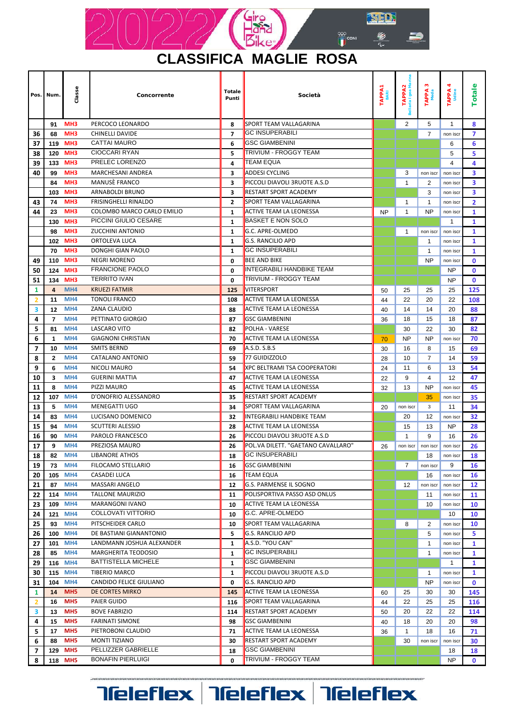

 $\|$  Totale

sse

Pos.

MH<sub>5</sub>

MH<sub>5</sub>

MH<sub>5</sub>

118 MH5

 $17$ 

88

129

 $6\phantom{1}6$ 

 $\overline{\mathbf{z}}$ 

 $\bf{8}$ 

PIETROBONI CLAUDIO

**PELLIZZER GABRIELLE** 

**BONAFIN PIERLUIGI** 

**MONTI TIZIANO** 

PA<sub>3</sub>

PA<sub>2</sub>

 $\frac{1}{2}$ 

PA<sub>4</sub>

 $\frac{6}{5}$ 

 ${\bf 71}$ 

 $30$ 

18

 $\pmb{0}$ 

36

 $\mathbf{1}$ 

 $30$ 

18

non iscr

16

non iscr

18

**NP** 

|                | Pos. Num.      | Class                              | Concorrente                 | Totale<br>Punti | Società                             |           | TAPP/<br>aria Igea | TAPPA<br>Meda | TAPP)        | ota            |
|----------------|----------------|------------------------------------|-----------------------------|-----------------|-------------------------------------|-----------|--------------------|---------------|--------------|----------------|
|                |                |                                    |                             |                 |                                     |           |                    |               |              |                |
|                | 91             | MH <sub>3</sub>                    | PERCOCO LEONARDO            | 8               | SPORT TEAM VALLAGARINA              |           | $\overline{2}$     | 5             | $\mathbf{1}$ | 8              |
| 36             | 68             | MH <sub>3</sub>                    | <b>CHINELLI DAVIDE</b>      | $\overline{7}$  | GC INSUPERABILI                     |           |                    | 7             | non iscr     | $\overline{ }$ |
| 37             | 119            | MH <sub>3</sub>                    | <b>CATTAI MAURO</b>         | 6               | <b>GSC GIAMBENINI</b>               |           |                    |               | 6            | 6              |
| 38             | 120            | MH <sub>3</sub>                    | <b>CIOCCARI RYAN</b>        | 5               | TRIVIUM - FROGGY TEAM               |           |                    |               | 5            | 5              |
| 39             | 133            | MH <sub>3</sub>                    | PRELEC LORENZO              | 4               | <b>TEAM EQUA</b>                    |           |                    |               | 4            | 4              |
| 40             | 99             | MH <sub>3</sub>                    | <b>MARCHESANI ANDREA</b>    | 3               | <b>ADDESI CYCLING</b>               |           | 3                  | non iscr      | non iscr     | 3              |
|                | 84             | MH <sub>3</sub>                    | MANUSE FRANCO               | 3               | PICCOLI DIAVOLI 3RUOTE A.S.D        |           | $\mathbf{1}$       | 2             | non iscr     | 3              |
|                | 103            | MH <sub>3</sub>                    | ARNABOLDI BRUNO             | 3               | RESTART SPORT ACADEMY               |           |                    | 3             | non iscr     | 3              |
| 43             | 74             | MH <sub>3</sub>                    | <b>FRISINGHELLI RINALDO</b> | $\mathbf{2}$    | <b>SPORT TEAM VALLAGARINA</b>       |           | 1                  | $\mathbf{1}$  | non iscr     | $\overline{2}$ |
| 44             | 23             | MH <sub>3</sub>                    | COLOMBO MARCO CARLO EMILIO  | 1               | <b>ACTIVE TEAM LA LEONESSA</b>      | <b>NP</b> | $\mathbf{1}$       | <b>NP</b>     | non iscr     | 1              |
|                | 130            | MH <sub>3</sub>                    | PICCINI GIULIO CESARE       | $\mathbf{1}$    | BASKET E NON SOLO                   |           |                    |               | 1            | 1              |
|                | 98             | MH <sub>3</sub>                    | <b>ZUCCHINI ANTONIO</b>     | $\mathbf{1}$    | G.C. APRE-OLMEDO                    |           | 1                  | non iscr      | non iscr     | 1              |
|                | 102            | MH <sub>3</sub>                    | ORTOLEVA LUCA               | 1               | G.S. RANCILIO APD                   |           |                    | 1             | non iscr     | 1              |
|                | 70             | MH <sub>3</sub>                    | DONGHI GIAN PAOLO           | 1               | <b>GC INSUPERABILI</b>              |           |                    | -1            | non iscr     | 1              |
| 49             | 110            | MH <sub>3</sub>                    | <b>NEGRI MORENO</b>         | 0               | <b>BEE AND BIKE</b>                 |           |                    | <b>NP</b>     | non iscr     | 0              |
| 50             | 124            | MH <sub>3</sub>                    | <b>FRANCIONE PAOLO</b>      | 0               | <b>INTEGRABILI HANDBIKE TEAM</b>    |           |                    |               | <b>NP</b>    | 0              |
| 51             | 134            | MH <sub>3</sub>                    | <b>TERRITO IVAN</b>         | 0               | <b>TRIVIUM - FROGGY TEAM</b>        |           |                    |               | <b>NP</b>    | $\mathbf 0$    |
| 1              | $\overline{4}$ | MH4                                | <b>KRUEZI FATMIR</b>        | 125             | VITERSPORT                          | 50        | 25                 | 25            | 25           | 125            |
| $\overline{2}$ | 11             | MH4                                | <b>TONOLI FRANCO</b>        | 108             | <b>ACTIVE TEAM LA LEONESSA</b>      | 44        | 22                 | 20            | 22           | 108            |
| 3              | 12             | MH <sub>4</sub>                    | ZANA CLAUDIO                | 88              | <b>ACTIVE TEAM LA LEONESSA</b>      | 40        | 14                 | 14            | 20           | 88             |
| 4              | 7              | MH4                                | PETTINATO GIORGIO           | 87              | <b>GSC GIAMBENINI</b>               | 36        | 18                 | 15            | 18           | 87             |
| 5              | 81             | MH <sub>4</sub>                    | <b>LASCARO VITO</b>         | 82              | POLHA - VARESE                      |           | 30                 | 22            | 30           | 82             |
| 6              | 1              | MH <sub>4</sub>                    | <b>GIAGNONI CHRISTIAN</b>   | 70              | ACTIVE TEAM LA LEONESSA             |           | <b>NP</b>          | <b>NP</b>     | non iscr     | 70             |
| 7              | 10             | MH4                                | <b>SMITS BERND</b>          | 69              | A.S.D. S.B.S                        | 30        | 16                 | 8             | 15           | 69             |
| 8              | $\mathbf{2}$   | MH4                                | CATALANO ANTONIO            | 59              | 77 GUIDIZZOLO                       | 28        | 10                 | 7             | 14           | 59             |
| 9              | 6              | MH4                                | <b>NICOLI MAURO</b>         | 54              | <b>XPC BELTRAMI TSA COOPERATORI</b> | 24        | 11                 | 6             | 13           | 54             |
| 10             | 3              | MH4                                | <b>GUERINI MATTIA</b>       | 47              | <b>ACTIVE TEAM LA LEONESSA</b>      | 22        | 9                  | 4             | 12           | 47             |
| 11             | 8              | MH <sub>4</sub>                    | PIZZI MAURO                 | 45              | <b>ACTIVE TEAM LA LEONESSA</b>      | 32        | 13                 | <b>NP</b>     | non iscr     | 45             |
| 12             | 107            | MH4                                | D'ONOFRIO ALESSANDRO        | 35              | RESTART SPORT ACADEMY               |           |                    | 35            | non iscr     | 35             |
| 13             | 5              | MH4                                | <b>MENEGATTI UGO</b>        | 34              | SPORT TEAM VALLAGARINA              | 20        | non iscr           | 3             | 11           | 34             |
| 14             | 83             | MH <sub>4</sub>                    | LUCISANO DOMENICO           | 32              | INTEGRABILI HANDBIKE TEAM           |           | 20                 | 12            | non iscr     | 32             |
| 15             | 94             | MH <sub>4</sub>                    | <b>SCUTTERI ALESSIO</b>     | 28              | <b>ACTIVE TEAM LA LEONESSA</b>      |           | 15                 | 13            | NP           | 28             |
| 16             | 90             | MH4                                | PAROLO FRANCESCO            | 26              | PICCOLI DIAVOLI 3RUOTE A.S.D        |           | $\mathbf{1}$       | 9             | 16           | 26             |
| 17             | 9              | MH4                                | PREZIOSA MAURO              | 26              | POL.VA DILETT. "GAETANO CAVALLARO"  | 26        | non iscr           | non iscr      | non iscr     | 26             |
| 18             | 82             | MH <sub>4</sub>                    | <b>LIBANORE ATHOS</b>       | 18              | GC INSUPERABILI                     |           |                    | 18            | non iscr     | 18             |
| 19             | 73             | MH4                                | FILOCAMO STELLARIO          | 16              | <b>GSC GIAMBENINI</b>               |           | $\overline{7}$     | non iscr      | 9            | 16             |
| 20             | 105            | MH4                                | <b>CASADEI LUCA</b>         | 16              | <b>TEAM EQUA</b>                    |           |                    | 16            | non iscr     | 16             |
| 21             | 87             | MH4                                | MASSARI ANGELO              | 12              | G.S. PARMENSE IL SOGNO              |           | 12                 | non iscr      | non iscr     | 12             |
| 22             | 114            | MH4                                | <b>TALLONE MAURIZIO</b>     | 11              | POLISPORTIVA PASSO ASD ONLUS        |           |                    | 11            | non iscr     | 11             |
| 23             | 109            | MH4                                | MARANGONI IVANO             | 10              | ACTIVE TEAM LA LEONESSA             |           |                    | 10            | non iscr     | 10             |
| 24             | 121            | MH <sub>4</sub>                    | COLLOVATI VITTORIO          | 10              | G.C. APRE-OLMEDO                    |           |                    |               | 10           | 10             |
| 25             | 93             | MH <sub>4</sub>                    | PITSCHEIDER CARLO           | 10              | SPORT TEAM VALLAGARINA              |           | 8                  | 2             | non iscr     | 10             |
| 26             | 100            | MH <sub>4</sub>                    | DE BASTIANI GIANANTONIO     | 5               | <b>G.S. RANCILIO APD</b>            |           |                    | 5             | non iscr     | 5              |
| 27             | 101            | MH4                                | LANDMANN JOSHUA ALEXANDER   | $\mathbf{1}$    | A.S.D. "YOU CAN"                    |           |                    | $\mathbf{1}$  | non iscr     | $\mathbf{1}$   |
| 28             | 85             | MH4                                | <b>MARGHERITA TEODOSIO</b>  | 1               | <b>GC INSUPERABILI</b>              |           |                    | 1             | non iscr     | $\mathbf{1}$   |
| 29             | 116            | MH <sub>4</sub>                    | <b>BATTISTELLA MICHELE</b>  | 1               | <b>GSC GIAMBENINI</b>               |           |                    |               | 1            | 1              |
| 30             | 115            | MH <sub>4</sub>                    | TIBERIO MARCO               | 1               | PICCOLI DIAVOLI 3RUOTE A.S.D        |           |                    | $\mathbf{1}$  | non iscr     | 1              |
| 31             | 104            | MH <sub>4</sub>                    | CANDIDO FELICE GIULIANO     | 0               | <b>G.S. RANCILIO APD</b>            |           |                    | NP            | non iscr     | 0              |
| 1              | 14             | MH <sub>5</sub>                    | DE CORTES MIRKO             | 145             | ACTIVE TEAM LA LEONESSA             | 60        | 25                 | 30            | 30           | 145            |
| 2              | 16             | MH <sub>5</sub><br>MH <sub>5</sub> | PAIER GUIDO                 | 116             | SPORT TEAM VALLAGARINA              | 44        | 22                 | 25            | 25           | 116            |
| з.             | 13             | MH <sub>5</sub>                    | <b>BOVE FABRIZIO</b>        | 114             | <b>RESTART SPORT ACADEMY</b>        | 50        | 20                 | 22            | 22           | 114            |
| 4              | 15             |                                    | <b>FARINATI SIMONE</b>      | 98              | <b>GSC GIAMBENINI</b>               | 40        | 18                 | 20            | 20           | 98             |

### **Teleflex Teleflex Teleflex**

ACTIVE TEAM LA LEONESSA

RESTART SPORT ACADEMY

**TRIVIUM - FROGGY TEAM** 

**GSC GIAMBENINI** 

71

 $\bf{30}$ 

 ${\bf 18}$ 

 $\pmb{0}$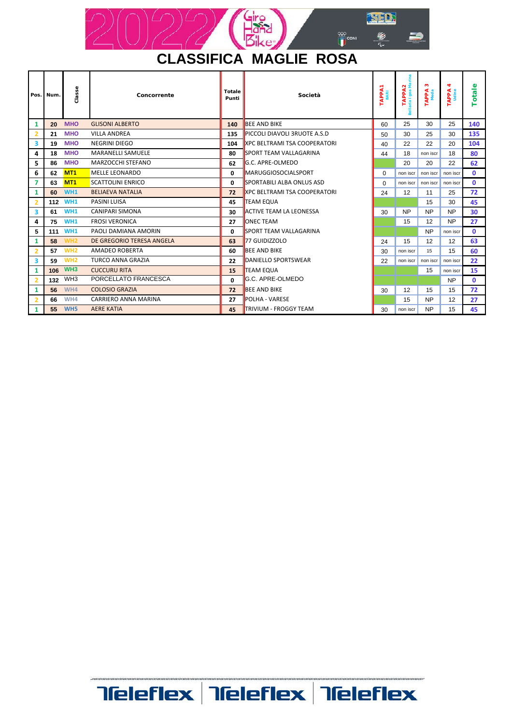

| Pos.           | Num.  | Classe          | Concorrente                 | Totale<br>Punti | Società                                                                                        |    | TAPPA2<br>Bellaria Igea Marina | n<br><b>APPA</b><br>Meda | 4<br><b>APPA</b> | otale<br>⊢   |
|----------------|-------|-----------------|-----------------------------|-----------------|------------------------------------------------------------------------------------------------|----|--------------------------------|--------------------------|------------------|--------------|
| 1              | 20    | <b>MHO</b>      | <b>GLISONI ALBERTO</b>      | 140             | <b>BEE AND BIKE</b>                                                                            | 60 | 25                             | 30                       | 25               | 140          |
| $\overline{2}$ | 21    | <b>MHO</b>      | <b>VILLA ANDREA</b>         | 135             | PICCOLI DIAVOLI 3RUOTE A.S.D                                                                   | 50 | 30                             | 25                       | 30               | 135          |
| 3              | 19    | <b>MHO</b>      | <b>NEGRINI DIEGO</b>        | 104             | <b>XPC BELTRAMI TSA COOPERATORI</b>                                                            | 40 | 22                             | 22                       | 20               | 104          |
| 4              | 18    | <b>MHO</b>      | <b>MARANELLI SAMUELE</b>    | 80              | <b>SPORT TEAM VALLAGARINA</b>                                                                  | 44 | 18                             | non iscr                 | 18               | 80           |
| 5              | 86    | <b>MHO</b>      | MARZOCCHI STEFANO           | 62              | G.C. APRE-OLMEDO                                                                               |    | 20                             | 20                       | 22               | 62           |
| 6              | 62    | MT1             | <b>MELLE LEONARDO</b>       | 0               | <b>MARUGGIOSOCIALSPORT</b><br>SPORTABILI ALBA ONLUS ASD<br><b>XPC BELTRAMI TSA COOPERATORI</b> |    | non iscr                       | non iscr                 | non iscr         | $\mathbf{0}$ |
| 7              | 63    | MT1             | <b>SCATTOLINI ENRICO</b>    | $\Omega$        |                                                                                                |    | non iscr                       | non iscr                 | non iscr         | $\mathbf{0}$ |
| 1              | 60    | WH <sub>1</sub> | <b>BELIAEVA NATALIA</b>     | 72              |                                                                                                |    | 12                             | 11                       | 25               | 72           |
| $\overline{2}$ | $112$ | WH <sub>1</sub> | <b>PASINI LUISA</b>         | 45              | <b>TEAM EQUA</b>                                                                               |    |                                | 15                       | 30               | 45           |
| 3              | 61    | WH <sub>1</sub> | CANIPARI SIMONA             | 30              | <b>ACTIVE TEAM LA LEONESSA</b>                                                                 | 30 | <b>NP</b>                      | <b>NP</b>                | <b>NP</b>        | 30           |
| 4              | 75    | WH <sub>1</sub> | <b>FROSI VERONICA</b>       | 27              | <b>ONEC TEAM</b>                                                                               |    | 15                             | 12                       | <b>NP</b>        | 27           |
| 5              | 111   | WH <sub>1</sub> | PAOLI DAMIANA AMORIN        | 0               | <b>SPORT TEAM VALLAGARINA</b>                                                                  |    |                                | <b>NP</b>                | non iscr         | $\mathbf{0}$ |
| 1              | 58    | WH <sub>2</sub> | DE GREGORIO TERESA ANGELA   | 63              | 77 GUIDIZZOLO                                                                                  | 24 | 15                             | 12                       | 12               | 63           |
| $\overline{2}$ | 57    | WH <sub>2</sub> | AMADEO ROBERTA              | 60              | <b>BEE AND BIKE</b>                                                                            | 30 | non iscr                       | 15                       | 15               | 60           |
| 3              | 59    | WH <sub>2</sub> | <b>TURCO ANNA GRAZIA</b>    | 22              | DANIELLO SPORTSWEAR                                                                            |    | non iscr                       | non iscr                 | non iscr         | 22           |
| 1              | 106   | WH <sub>3</sub> | <b>CUCCURU RITA</b>         | 15              | <b>TEAM EQUA</b>                                                                               |    |                                | 15                       | non iscr         | 15           |
| $\overline{2}$ | 132   | WH <sub>3</sub> | PORCELLATO FRANCESCA        | $\Omega$        | <b>G.C. APRE-OLMEDO</b>                                                                        |    |                                |                          | <b>NP</b>        | $\mathbf{0}$ |
| 1              | 56    | WH4             | <b>COLOSIO GRAZIA</b>       | 72              | <b>BEE AND BIKE</b>                                                                            | 30 | 12                             | 15                       | 15               | 72           |
| $\overline{2}$ | 66    | WH4             | <b>CARRIERO ANNA MARINA</b> | 27              | <b>POLHA - VARESE</b>                                                                          |    | 15                             | <b>NP</b>                | 12               | 27           |
| 1              | 55    | WH <sub>5</sub> | <b>AERE KATIA</b>           | 45              | <b>ITRIVIUM - FROGGY TEAM</b>                                                                  | 30 | non iscr                       | <b>NP</b>                | 15               | 45           |

# **Teleflex Teleflex Teleflex**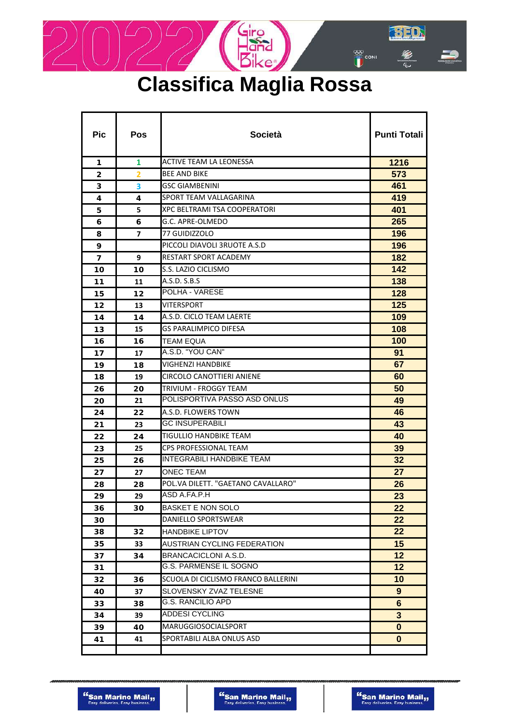

## **Classifica Maglia Rossa**

| <b>Pic</b> | <b>Pos</b>     | <b>Società</b>                      | <b>Punti Totali</b> |
|------------|----------------|-------------------------------------|---------------------|
| 1          | 1              | ACTIVE TEAM LA LEONESSA             | 1216                |
| 2          | $\overline{2}$ | <b>BEE AND BIKE</b>                 | 573                 |
| 3          | 3              | <b>GSC GIAMBENINI</b>               | 461                 |
| 4          | 4              | SPORT TEAM VALLAGARINA              | 419                 |
| 5          | 5              | XPC BELTRAMI TSA COOPERATORI        | 401                 |
| 6          | 6              | G.C. APRE-OLMEDO                    | 265                 |
| 8          | $\overline{ }$ | 77 GUIDIZZOLO                       | 196                 |
| 9          |                | PICCOLI DIAVOLI 3RUOTE A.S.D        | 196                 |
| 7          | 9              | <b>RESTART SPORT ACADEMY</b>        | 182                 |
| 10         | 10             | S.S. LAZIO CICLISMO                 | 142                 |
| 11         | 11             | A.S.D. S.B.S                        | 138                 |
| 15         | 12             | POLHA - VARESE                      | 128                 |
| 12         | 13             | VITERSPORT                          | 125                 |
| 14         | 14             | A.S.D. CICLO TEAM LAERTE            | 109                 |
| 13         | 15             | <b>GS PARALIMPICO DIFESA</b>        | 108                 |
| 16         | 16             | <b>TEAM EQUA</b>                    | 100                 |
| 17         | 17             | A.S.D. "YOU CAN"                    | 91                  |
| 19         | 18             | VIGHENZI HANDBIKE                   | 67                  |
| 18         | 19             | CIRCOLO CANOTTIERI ANIENE           | 60                  |
| 26         | 20             | TRIVIUM - FROGGY TEAM               | 50                  |
| 20         | 21             | POLISPORTIVA PASSO ASD ONLUS        | 49                  |
| 24         | 22             | A.S.D. FLOWERS TOWN                 | 46                  |
| 21         | 23             | GC INSUPERABILI                     | 43                  |
| 22         | 24             | TIGULLIO HANDBIKE TEAM              | 40                  |
| 23         | 25             | <b>CPS PROFESSIONAL TEAM</b>        | 39                  |
| 25         | 26             | <b>INTEGRABILI HANDBIKE TEAM</b>    | 32                  |
| 27         | 27             | <b>ONEC TEAM</b>                    | 27                  |
| 28         | 28             | POL.VA DILETT. "GAETANO CAVALLARO"  | 26                  |
| 29         | 29             | ASD A.FA.P.H                        | 23                  |
| 36         | 30             | <b>BASKET E NON SOLO</b>            | 22                  |
| 30         |                | DANIELLO SPORTSWEAR                 | 22                  |
| 38         | 32             | HANDBIKE LIPTOV                     | 22                  |
| 35         | 33             | AUSTRIAN CYCLING FEDERATION         | 15                  |
| 37         | 34             | BRANCACICLONI A.S.D.                | 12                  |
| 31         |                | G.S. PARMENSE IL SOGNO              | $12 \,$             |
| 32         | 36             | SCUOLA DI CICLISMO FRANCO BALLERINI | 10                  |
| 40         | 37             | SLOVENSKY ZVAZ TELESNE              | $9\phantom{.}$      |
| 33         | 38             | <b>G.S. RANCILIO APD</b>            | 6                   |
| 34         | 39             | <b>ADDESI CYCLING</b>               | $\mathbf{3}$        |
| 39         | 40             | <b>MARUGGIOSOCIALSPORT</b>          | $\mathbf 0$         |
| 41         | 41             | SPORTABILI ALBA ONLUS ASD           | 0                   |
|            |                |                                     |                     |